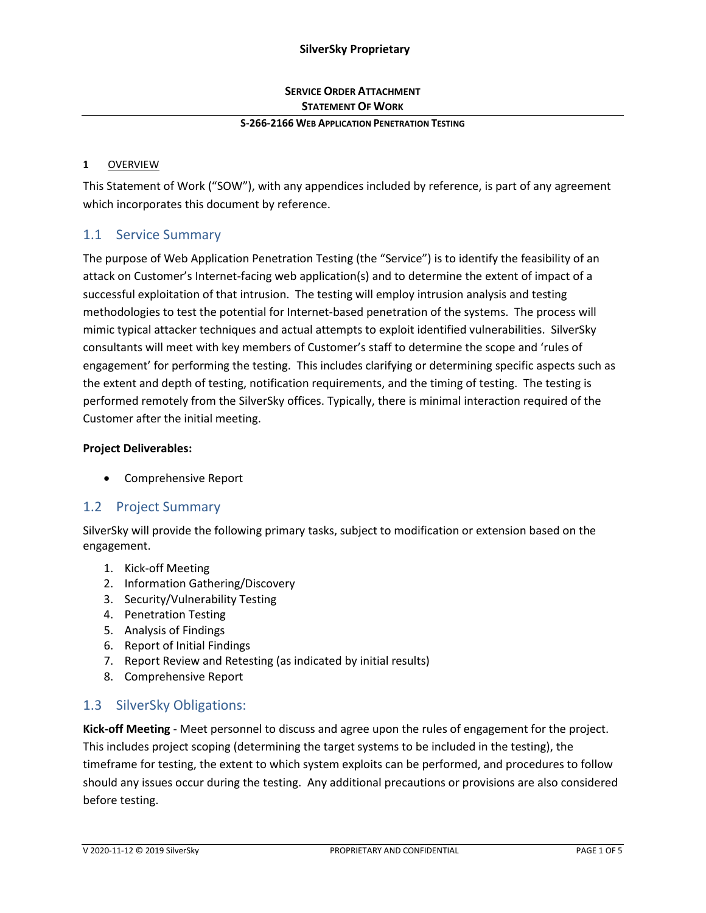### **SERVICE ORDER ATTACHMENT STATEMENT OF WORK**

#### **S-266-2166 WEB APPLICATION PENETRATION TESTING**

#### **1** OVERVIEW

This Statement of Work ("SOW"), with any appendices included by reference, is part of any agreement which incorporates this document by reference.

## 1.1 Service Summary

The purpose of Web Application Penetration Testing (the "Service") is to identify the feasibility of an attack on Customer's Internet-facing web application(s) and to determine the extent of impact of a successful exploitation of that intrusion. The testing will employ intrusion analysis and testing methodologies to test the potential for Internet-based penetration of the systems. The process will mimic typical attacker techniques and actual attempts to exploit identified vulnerabilities. SilverSky consultants will meet with key members of Customer's staff to determine the scope and 'rules of engagement' for performing the testing. This includes clarifying or determining specific aspects such as the extent and depth of testing, notification requirements, and the timing of testing. The testing is performed remotely from the SilverSky offices. Typically, there is minimal interaction required of the Customer after the initial meeting.

#### **Project Deliverables:**

• Comprehensive Report

## 1.2 Project Summary

SilverSky will provide the following primary tasks, subject to modification or extension based on the engagement.

- 1. Kick-off Meeting
- 2. Information Gathering/Discovery
- 3. Security/Vulnerability Testing
- 4. Penetration Testing
- 5. Analysis of Findings
- 6. Report of Initial Findings
- 7. Report Review and Retesting (as indicated by initial results)
- 8. Comprehensive Report

### 1.3 SilverSky Obligations:

**Kick-off Meeting** - Meet personnel to discuss and agree upon the rules of engagement for the project. This includes project scoping (determining the target systems to be included in the testing), the timeframe for testing, the extent to which system exploits can be performed, and procedures to follow should any issues occur during the testing. Any additional precautions or provisions are also considered before testing.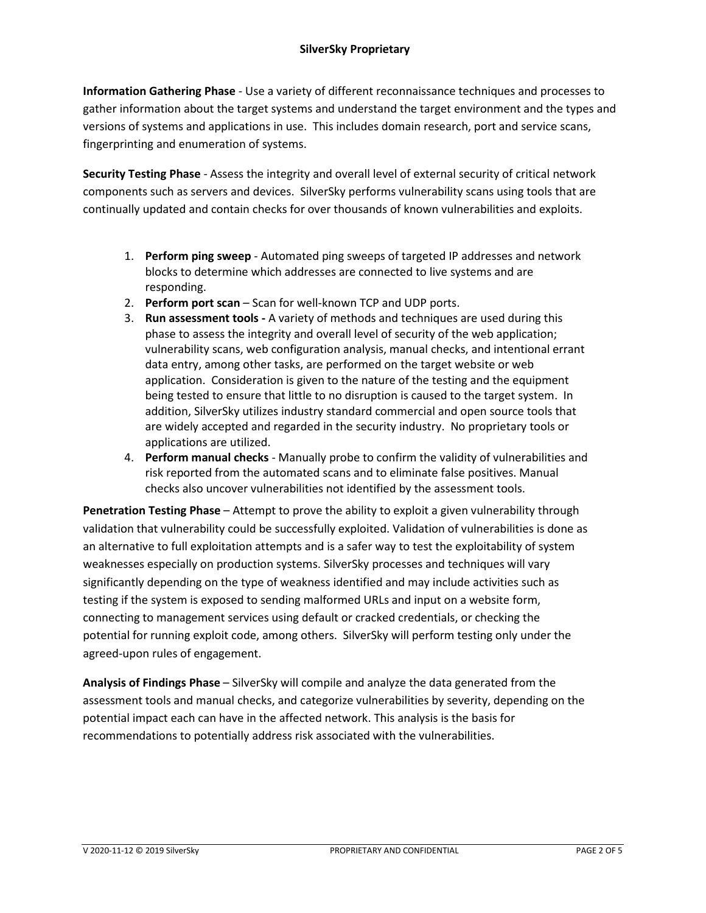**Information Gathering Phase** - Use a variety of different reconnaissance techniques and processes to gather information about the target systems and understand the target environment and the types and versions of systems and applications in use. This includes domain research, port and service scans, fingerprinting and enumeration of systems.

**Security Testing Phase** - Assess the integrity and overall level of external security of critical network components such as servers and devices. SilverSky performs vulnerability scans using tools that are continually updated and contain checks for over thousands of known vulnerabilities and exploits.

- 1. **Perform ping sweep** Automated ping sweeps of targeted IP addresses and network blocks to determine which addresses are connected to live systems and are responding.
- 2. **Perform port scan** Scan for well-known TCP and UDP ports.
- 3. **Run assessment tools -** A variety of methods and techniques are used during this phase to assess the integrity and overall level of security of the web application; vulnerability scans, web configuration analysis, manual checks, and intentional errant data entry, among other tasks, are performed on the target website or web application. Consideration is given to the nature of the testing and the equipment being tested to ensure that little to no disruption is caused to the target system. In addition, SilverSky utilizes industry standard commercial and open source tools that are widely accepted and regarded in the security industry. No proprietary tools or applications are utilized.
- 4. **Perform manual checks** Manually probe to confirm the validity of vulnerabilities and risk reported from the automated scans and to eliminate false positives. Manual checks also uncover vulnerabilities not identified by the assessment tools.

**Penetration Testing Phase** – Attempt to prove the ability to exploit a given vulnerability through validation that vulnerability could be successfully exploited. Validation of vulnerabilities is done as an alternative to full exploitation attempts and is a safer way to test the exploitability of system weaknesses especially on production systems. SilverSky processes and techniques will vary significantly depending on the type of weakness identified and may include activities such as testing if the system is exposed to sending malformed URLs and input on a website form, connecting to management services using default or cracked credentials, or checking the potential for running exploit code, among others. SilverSky will perform testing only under the agreed-upon rules of engagement.

**Analysis of Findings Phase** – SilverSky will compile and analyze the data generated from the assessment tools and manual checks, and categorize vulnerabilities by severity, depending on the potential impact each can have in the affected network. This analysis is the basis for recommendations to potentially address risk associated with the vulnerabilities.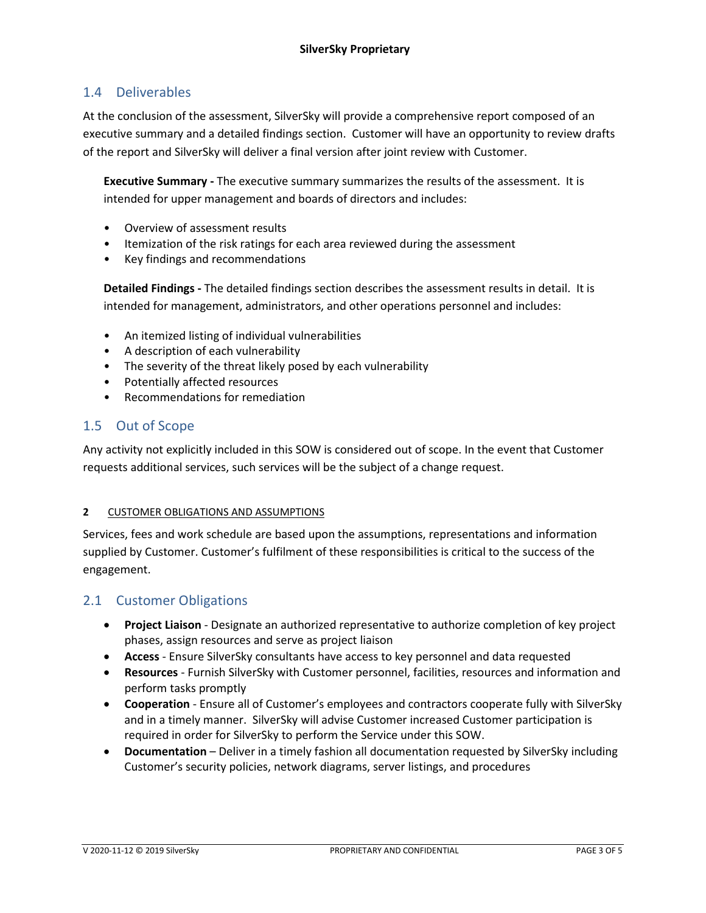# 1.4 Deliverables

At the conclusion of the assessment, SilverSky will provide a comprehensive report composed of an executive summary and a detailed findings section. Customer will have an opportunity to review drafts of the report and SilverSky will deliver a final version after joint review with Customer.

**Executive Summary -** The executive summary summarizes the results of the assessment. It is intended for upper management and boards of directors and includes:

- Overview of assessment results
- Itemization of the risk ratings for each area reviewed during the assessment
- Key findings and recommendations

**Detailed Findings -** The detailed findings section describes the assessment results in detail. It is intended for management, administrators, and other operations personnel and includes:

- An itemized listing of individual vulnerabilities
- A description of each vulnerability
- The severity of the threat likely posed by each vulnerability
- Potentially affected resources
- Recommendations for remediation

## 1.5 Out of Scope

Any activity not explicitly included in this SOW is considered out of scope. In the event that Customer requests additional services, such services will be the subject of a change request.

#### **2** CUSTOMER OBLIGATIONS AND ASSUMPTIONS

Services, fees and work schedule are based upon the assumptions, representations and information supplied by Customer. Customer's fulfilment of these responsibilities is critical to the success of the engagement.

### 2.1 Customer Obligations

- **Project Liaison** Designate an authorized representative to authorize completion of key project phases, assign resources and serve as project liaison
- **Access**  Ensure SilverSky consultants have access to key personnel and data requested
- **Resources** Furnish SilverSky with Customer personnel, facilities, resources and information and perform tasks promptly
- **Cooperation** Ensure all of Customer's employees and contractors cooperate fully with SilverSky and in a timely manner. SilverSky will advise Customer increased Customer participation is required in order for SilverSky to perform the Service under this SOW.
- **Documentation** Deliver in a timely fashion all documentation requested by SilverSky including Customer's security policies, network diagrams, server listings, and procedures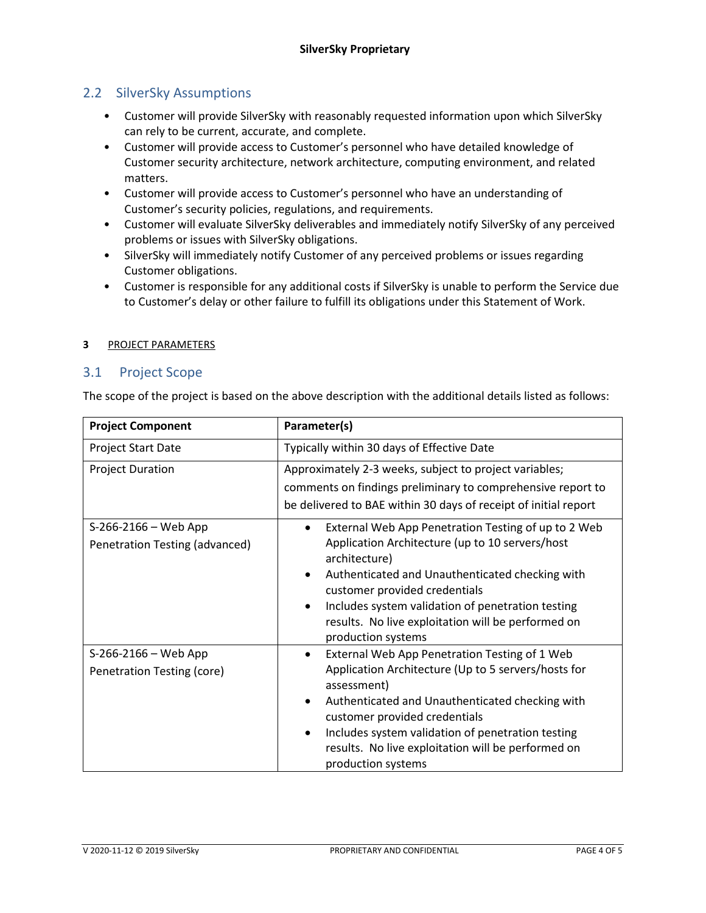## 2.2 SilverSky Assumptions

- Customer will provide SilverSky with reasonably requested information upon which SilverSky can rely to be current, accurate, and complete.
- Customer will provide access to Customer's personnel who have detailed knowledge of Customer security architecture, network architecture, computing environment, and related matters.
- Customer will provide access to Customer's personnel who have an understanding of Customer's security policies, regulations, and requirements.
- Customer will evaluate SilverSky deliverables and immediately notify SilverSky of any perceived problems or issues with SilverSky obligations.
- SilverSky will immediately notify Customer of any perceived problems or issues regarding Customer obligations.
- Customer is responsible for any additional costs if SilverSky is unable to perform the Service due to Customer's delay or other failure to fulfill its obligations under this Statement of Work.

#### **3** PROJECT PARAMETERS

### 3.1 Project Scope

The scope of the project is based on the above description with the additional details listed as follows:

| <b>Project Component</b>                               | Parameter(s)                                                                                                                                                                                                                                                                                                                                                           |
|--------------------------------------------------------|------------------------------------------------------------------------------------------------------------------------------------------------------------------------------------------------------------------------------------------------------------------------------------------------------------------------------------------------------------------------|
| Project Start Date                                     | Typically within 30 days of Effective Date                                                                                                                                                                                                                                                                                                                             |
| <b>Project Duration</b>                                | Approximately 2-3 weeks, subject to project variables;<br>comments on findings preliminary to comprehensive report to<br>be delivered to BAE within 30 days of receipt of initial report                                                                                                                                                                               |
| S-266-2166 - Web App<br>Penetration Testing (advanced) | External Web App Penetration Testing of up to 2 Web<br>Application Architecture (up to 10 servers/host<br>architecture)<br>Authenticated and Unauthenticated checking with<br>$\bullet$<br>customer provided credentials<br>Includes system validation of penetration testing<br>$\bullet$<br>results. No live exploitation will be performed on<br>production systems |
| S-266-2166 - Web App<br>Penetration Testing (core)     | External Web App Penetration Testing of 1 Web<br>$\bullet$<br>Application Architecture (Up to 5 servers/hosts for<br>assessment)<br>Authenticated and Unauthenticated checking with<br>customer provided credentials<br>Includes system validation of penetration testing<br>$\bullet$<br>results. No live exploitation will be performed on<br>production systems     |